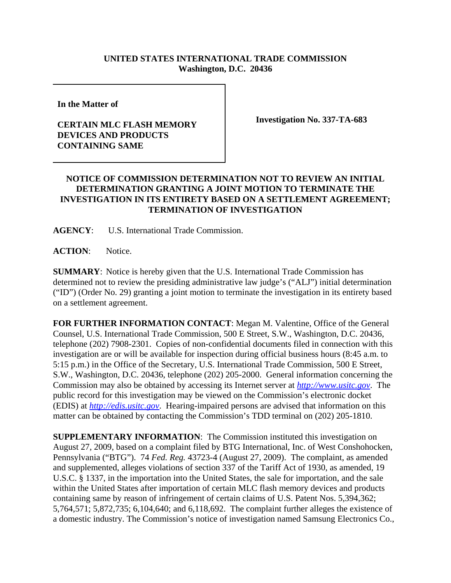## **UNITED STATES INTERNATIONAL TRADE COMMISSION Washington, D.C. 20436**

**In the Matter of** 

## **CERTAIN MLC FLASH MEMORY DEVICES AND PRODUCTS CONTAINING SAME**

**Investigation No. 337-TA-683**

## **NOTICE OF COMMISSION DETERMINATION NOT TO REVIEW AN INITIAL DETERMINATION GRANTING A JOINT MOTION TO TERMINATE THE INVESTIGATION IN ITS ENTIRETY BASED ON A SETTLEMENT AGREEMENT; TERMINATION OF INVESTIGATION**

**AGENCY**: U.S. International Trade Commission.

**ACTION**: Notice.

**SUMMARY**: Notice is hereby given that the U.S. International Trade Commission has determined not to review the presiding administrative law judge's ("ALJ") initial determination ("ID") (Order No. 29) granting a joint motion to terminate the investigation in its entirety based on a settlement agreement.

**FOR FURTHER INFORMATION CONTACT**: Megan M. Valentine, Office of the General Counsel, U.S. International Trade Commission, 500 E Street, S.W., Washington, D.C. 20436, telephone (202) 7908-2301. Copies of non-confidential documents filed in connection with this investigation are or will be available for inspection during official business hours (8:45 a.m. to 5:15 p.m.) in the Office of the Secretary, U.S. International Trade Commission, 500 E Street, S.W., Washington, D.C. 20436, telephone (202) 205-2000. General information concerning the Commission may also be obtained by accessing its Internet server at *http://www.usitc.gov*. The public record for this investigation may be viewed on the Commission's electronic docket (EDIS) at *http://edis.usitc.gov*. Hearing-impaired persons are advised that information on this matter can be obtained by contacting the Commission's TDD terminal on (202) 205-1810.

**SUPPLEMENTARY INFORMATION:** The Commission instituted this investigation on August 27, 2009, based on a complaint filed by BTG International, Inc. of West Conshohocken, Pennsylvania ("BTG"). 74 *Fed. Reg.* 43723-4 (August 27, 2009). The complaint, as amended and supplemented, alleges violations of section 337 of the Tariff Act of 1930, as amended, 19 U.S.C. § 1337, in the importation into the United States, the sale for importation, and the sale within the United States after importation of certain MLC flash memory devices and products containing same by reason of infringement of certain claims of U.S. Patent Nos. 5,394,362; 5,764,571; 5,872,735; 6,104,640; and 6,118,692. The complaint further alleges the existence of a domestic industry. The Commission's notice of investigation named Samsung Electronics Co.,